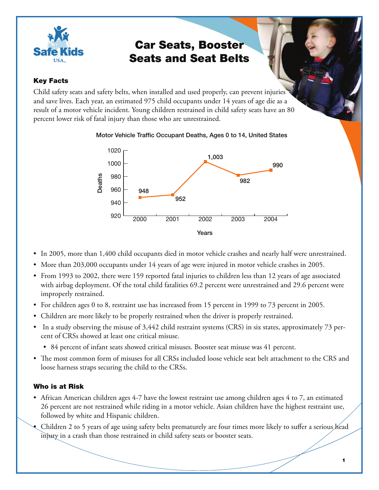

# Car Seats, Booster Seats and Seat Belts

# Key Facts

Child safety seats and safety belts, when installed and used properly, can prevent injuries and save lives. Each year, an estimated 975 child occupants under 14 years of age die as a result of a motor vehicle incident. Young children restrained in child safety seats have an 80 percent lower risk of fatal injury than those who are unrestrained.

Motor Vehicle Traffic Occupant Deaths, Ages 0 to 14, United States



- In 2005, more than 1,400 child occupants died in motor vehicle crashes and nearly half were unrestrained.
- More than 203,000 occupants under 14 years of age were injured in motor vehicle crashes in 2005. •
- From 1993 to 2002, there were 159 reported fatal injuries to children less than 12 years of age associated with airbag deployment. Of the total child fatalities 69.2 percent were unrestrained and 29.6 percent were improperly restrained.
- For children ages 0 to 8, restraint use has increased from 15 percent in 1999 to 73 percent in 2005.
- Children are more likely to be properly restrained when the driver is properly restrained. •
- In a study observing the misuse of 3,442 child restraint systems (CRS) in six states, approximately 73 percent of CRSs showed at least one critical misuse.
	- 84 percent of infant seats showed critical misuses. Booster seat misuse was 41 percent. •
- The most common form of misuses for all CRSs included loose vehicle seat belt attachment to the CRS and loose harness straps securing the child to the CRSs.

# Who is at Risk

- African American children ages 4-7 have the lowest restraint use among children ages 4 to 7, an estimated 26 percent are not restrained while riding in a motor vehicle. Asian children have the highest restraint use, followed by white and Hispanic children.
- Children 2 to 5 years of age using safety belts prematurely are four times more likely to suffer a serious head injury in a crash than those restrained in child safety seats or booster seats. •